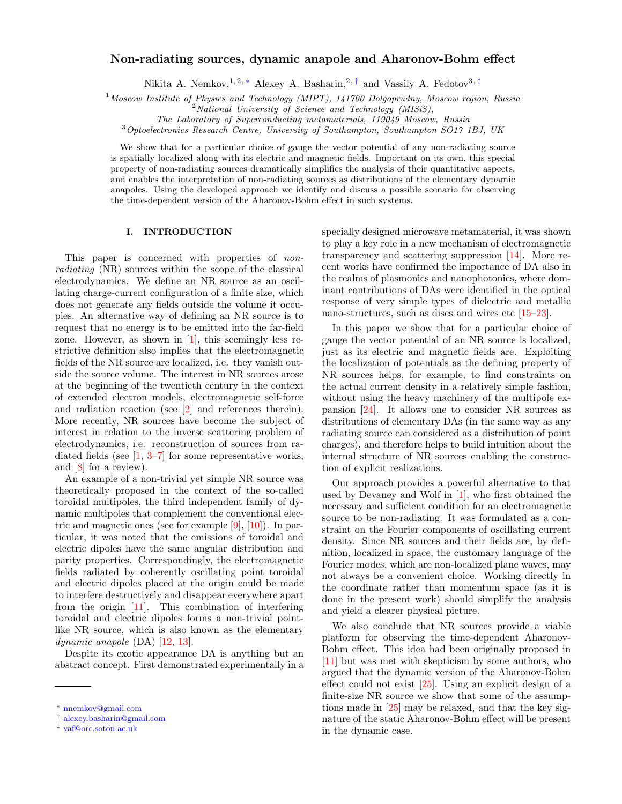# Non-radiating sources, dynamic anapole and Aharonov-Bohm effect

Nikita A. Nemkov, <sup>1, 2, [∗](#page-0-0)</sup> Alexey A. Basharin, <sup>2, [†](#page-0-1)</sup> and Vassily A. Fedotov<sup>3, [‡](#page-0-2)</sup>

<sup>1</sup>Moscow Institute of Physics and Technology (MIPT), 141700 Dolgoprudny, Moscow region, Russia

 $2$ National University of Science and Technology (MISiS),

The Laboratory of Superconducting metamaterials, 119049 Moscow, Russia

<sup>3</sup>Optoelectronics Research Centre, University of Southampton, Southampton SO17 1BJ, UK

We show that for a particular choice of gauge the vector potential of any non-radiating source is spatially localized along with its electric and magnetic fields. Important on its own, this special property of non-radiating sources dramatically simplifies the analysis of their quantitative aspects, and enables the interpretation of non-radiating sources as distributions of the elementary dynamic anapoles. Using the developed approach we identify and discuss a possible scenario for observing the time-dependent version of the Aharonov-Bohm effect in such systems.

## I. INTRODUCTION

This paper is concerned with properties of nonradiating (NR) sources within the scope of the classical electrodynamics. We define an NR source as an oscillating charge-current configuration of a finite size, which does not generate any fields outside the volume it occupies. An alternative way of defining an NR source is to request that no energy is to be emitted into the far-field zone. However, as shown in  $[1]$ , this seemingly less restrictive definition also implies that the electromagnetic fields of the NR source are localized, i.e. they vanish outside the source volume. The interest in NR sources arose at the beginning of the twentieth century in the context of extended electron models, electromagnetic self-force and radiation reaction (see [\[2\]](#page-7-1) and references therein). More recently, NR sources have become the subject of interest in relation to the inverse scattering problem of electrodynamics, i.e. reconstruction of sources from radiated fields (see  $\left[1, 3-7\right]$  $\left[1, 3-7\right]$  $\left[1, 3-7\right]$  for some representative works, and [\[8\]](#page-7-4) for a review).

An example of a non-trivial yet simple NR source was theoretically proposed in the context of the so-called toroidal multipoles, the third independent family of dynamic multipoles that complement the conventional electric and magnetic ones (see for example [\[9\]](#page-7-5), [\[10\]](#page-7-6)). In particular, it was noted that the emissions of toroidal and electric dipoles have the same angular distribution and parity properties. Correspondingly, the electromagnetic fields radiated by coherently oscillating point toroidal and electric dipoles placed at the origin could be made to interfere destructively and disappear everywhere apart from the origin [\[11\]](#page-7-7). This combination of interfering toroidal and electric dipoles forms a non-trivial pointlike NR source, which is also known as the elementary dynamic anapole (DA) [\[12,](#page-7-8) [13\]](#page-7-9).

Despite its exotic appearance DA is anything but an abstract concept. First demonstrated experimentally in a

specially designed microwave metamaterial, it was shown to play a key role in a new mechanism of electromagnetic transparency and scattering suppression [\[14\]](#page-7-10). More recent works have confirmed the importance of DA also in the realms of plasmonics and nanophotonics, where dominant contributions of DAs were identified in the optical response of very simple types of dielectric and metallic nano-structures, such as discs and wires etc [\[15–](#page-7-11)[23\]](#page-7-12).

In this paper we show that for a particular choice of gauge the vector potential of an NR source is localized, just as its electric and magnetic fields are. Exploiting the localization of potentials as the defining property of NR sources helps, for example, to find constraints on the actual current density in a relatively simple fashion, without using the heavy machinery of the multipole expansion [\[24\]](#page-7-13). It allows one to consider NR sources as distributions of elementary DAs (in the same way as any radiating source can considered as a distribution of point charges), and therefore helps to build intuition about the internal structure of NR sources enabling the construction of explicit realizations.

Our approach provides a powerful alternative to that used by Devaney and Wolf in [\[1\]](#page-7-0), who first obtained the necessary and sufficient condition for an electromagnetic source to be non-radiating. It was formulated as a constraint on the Fourier components of oscillating current density. Since NR sources and their fields are, by definition, localized in space, the customary language of the Fourier modes, which are non-localized plane waves, may not always be a convenient choice. Working directly in the coordinate rather than momentum space (as it is done in the present work) should simplify the analysis and yield a clearer physical picture.

We also conclude that NR sources provide a viable platform for observing the time-dependent Aharonov-Bohm effect. This idea had been originally proposed in [\[11\]](#page-7-7) but was met with skepticism by some authors, who argued that the dynamic version of the Aharonov-Bohm effect could not exist [\[25\]](#page-7-14). Using an explicit design of a finite-size NR source we show that some of the assumptions made in [\[25\]](#page-7-14) may be relaxed, and that the key signature of the static Aharonov-Bohm effect will be present in the dynamic case.

<span id="page-0-0"></span><sup>∗</sup> [nnemkov@gmail.com](mailto:nnemkov@gmail.com)

<span id="page-0-1"></span><sup>†</sup> [alexey.basharin@gmail.com](mailto:alexey.basharin@gmail.com)

<span id="page-0-2"></span><sup>‡</sup> [vaf@orc.soton.ac.uk](mailto:vaf@orc.soton.ac.uk)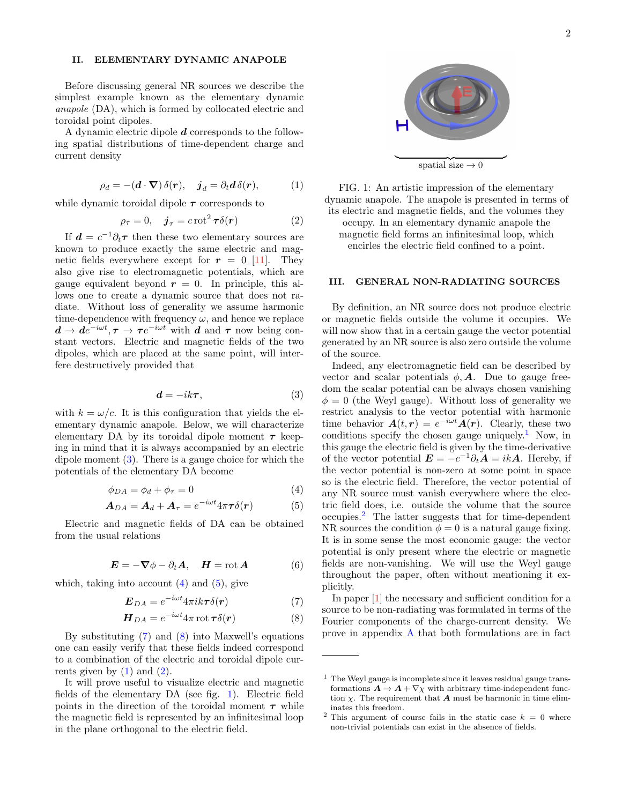### II. ELEMENTARY DYNAMIC ANAPOLE

Before discussing general NR sources we describe the simplest example known as the elementary dynamic anapole (DA), which is formed by collocated electric and toroidal point dipoles.

A dynamic electric dipole d corresponds to the following spatial distributions of time-dependent charge and current density

<span id="page-1-5"></span>
$$
\rho_d = -(d \cdot \nabla) \,\delta(\mathbf{r}), \quad \mathbf{j}_d = \partial_t \mathbf{d} \,\delta(\mathbf{r}), \tag{1}
$$

while dynamic toroidal dipole  $\tau$  corresponds to

<span id="page-1-6"></span>
$$
\rho_{\tau} = 0, \quad \dot{\jmath}_{\tau} = c \cot^2 \tau \delta(r) \tag{2}
$$

If  $\mathbf{d} = c^{-1} \partial_t \boldsymbol{\tau}$  then these two elementary sources are known to produce exactly the same electric and magnetic fields everywhere except for  $r = 0$  [\[11\]](#page-7-7). They also give rise to electromagnetic potentials, which are gauge equivalent beyond  $r = 0$ . In principle, this allows one to create a dynamic source that does not radiate. Without loss of generality we assume harmonic time-dependence with frequency  $\omega$ , and hence we replace  $d \to de^{-i\omega t}, \tau \to \tau e^{-i\omega t}$  with d and  $\tau$  now being constant vectors. Electric and magnetic fields of the two dipoles, which are placed at the same point, will interfere destructively provided that

<span id="page-1-0"></span>
$$
\mathbf{d} = -ik\boldsymbol{\tau},\tag{3}
$$

with  $k = \omega/c$ . It is this configuration that yields the elementary dynamic anapole. Below, we will characterize elementary DA by its toroidal dipole moment  $\tau$  keeping in mind that it is always accompanied by an electric dipole moment  $(3)$ . There is a gauge choice for which the potentials of the elementary DA become

$$
\phi_{DA} = \phi_d + \phi_\tau = 0 \tag{4}
$$

$$
\mathbf{A}_{DA} = \mathbf{A}_d + \mathbf{A}_\tau = e^{-i\omega t} 4\pi \tau \delta(\mathbf{r}) \tag{5}
$$

Electric and magnetic fields of DA can be obtained from the usual relations

$$
E = -\nabla \phi - \partial_t A, \quad H = \text{rot } A \tag{6}
$$

which, taking into account  $(4)$  and  $(5)$ , give

$$
\boldsymbol{E}_{DA} = e^{-i\omega t} 4\pi i k \boldsymbol{\tau} \delta(\boldsymbol{r}) \tag{7}
$$

$$
\boldsymbol{H}_{DA} = e^{-i\omega t} 4\pi \operatorname{rot} \boldsymbol{\tau} \delta(\boldsymbol{r}) \tag{8}
$$

By substituting [\(7\)](#page-1-3) and [\(8\)](#page-1-4) into Maxwell's equations one can easily verify that these fields indeed correspond to a combination of the electric and toroidal dipole currents given by  $(1)$  and  $(2)$ .

It will prove useful to visualize electric and magnetic fields of the elementary DA (see fig. [1\)](#page-1-7). Electric field points in the direction of the toroidal moment  $\tau$  while the magnetic field is represented by an infinitesimal loop in the plane orthogonal to the electric field.

<span id="page-1-7"></span>

FIG. 1: An artistic impression of the elementary dynamic anapole. The anapole is presented in terms of its electric and magnetic fields, and the volumes they occupy. In an elementary dynamic anapole the magnetic field forms an infinitesimal loop, which encirles the electric field confined to a point.

#### <span id="page-1-10"></span>III. GENERAL NON-RADIATING SOURCES

By definition, an NR source does not produce electric or magnetic fields outside the volume it occupies. We will now show that in a certain gauge the vector potential generated by an NR source is also zero outside the volume of the source.

Indeed, any electromagnetic field can be described by vector and scalar potentials  $\phi$ , **A**. Due to gauge freedom the scalar potential can be always chosen vanishing  $\phi = 0$  (the Weyl gauge). Without loss of generality we restrict analysis to the vector potential with harmonic time behavior  $\mathbf{A}(t,\mathbf{r})=e^{-i\omega t}\mathbf{A}(\mathbf{r})$ . Clearly, these two conditions specify the chosen gauge uniquely.<sup>[1](#page-1-8)</sup> Now, in this gauge the electric field is given by the time-derivative of the vector potential  $\mathbf{E} = -c^{-1}\partial_t \mathbf{A} = ik\mathbf{A}$ . Hereby, if the vector potential is non-zero at some point in space so is the electric field. Therefore, the vector potential of any NR source must vanish everywhere where the electric field does, i.e. outside the volume that the source occupies.[2](#page-1-9) The latter suggests that for time-dependent NR sources the condition  $\phi = 0$  is a natural gauge fixing. It is in some sense the most economic gauge: the vector potential is only present where the electric or magnetic fields are non-vanishing. We will use the Weyl gauge throughout the paper, often without mentioning it explicitly.

<span id="page-1-4"></span><span id="page-1-3"></span><span id="page-1-2"></span><span id="page-1-1"></span>In paper [\[1\]](#page-7-0) the necessary and sufficient condition for a source to be non-radiating was formulated in terms of the Fourier components of the charge-current density. We prove in appendix [A](#page-5-0) that both formulations are in fact

<span id="page-1-8"></span> $<sup>1</sup>$  The Weyl gauge is incomplete since it leaves residual gauge trans-</sup> formations  $\mathbf{A} \to \mathbf{A} + \nabla \chi$  with arbitrary time-independent function  $\chi$ . The requirement that **A** must be harmonic in time eliminates this freedom.

<span id="page-1-9"></span> $2$  This argument of course fails in the static case  $k = 0$  where non-trivial potentials can exist in the absence of fields.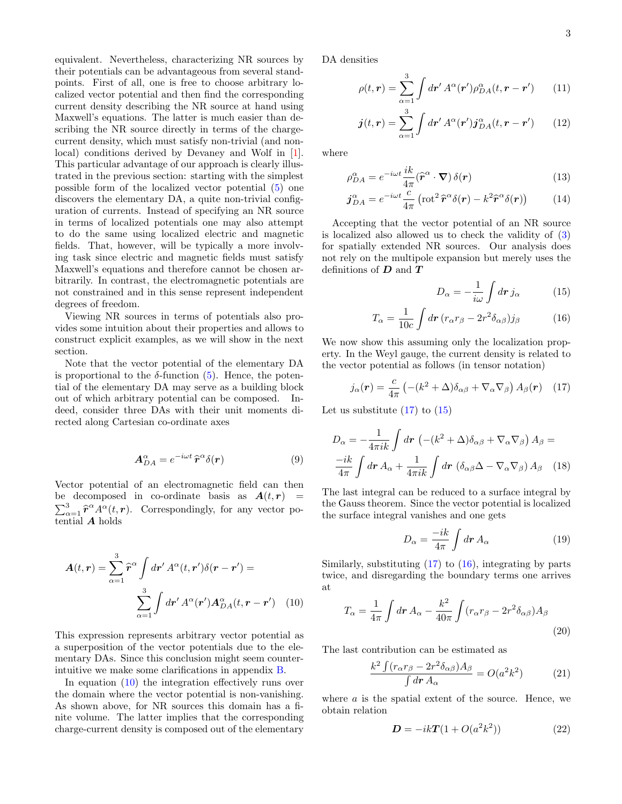equivalent. Nevertheless, characterizing NR sources by their potentials can be advantageous from several standpoints. First of all, one is free to choose arbitrary localized vector potential and then find the corresponding current density describing the NR source at hand using Maxwell's equations. The latter is much easier than describing the NR source directly in terms of the chargecurrent density, which must satisfy non-trivial (and nonlocal) conditions derived by Devaney and Wolf in [\[1\]](#page-7-0). This particular advantage of our approach is clearly illustrated in the previous section: starting with the simplest possible form of the localized vector potential [\(5\)](#page-1-2) one discovers the elementary DA, a quite non-trivial configuration of currents. Instead of specifying an NR source in terms of localized potentials one may also attempt to do the same using localized electric and magnetic fields. That, however, will be typically a more involving task since electric and magnetic fields must satisfy Maxwell's equations and therefore cannot be chosen arbitrarily. In contrast, the electromagnetic potentials are not constrained and in this sense represent independent degrees of freedom.

Viewing NR sources in terms of potentials also provides some intuition about their properties and allows to construct explicit examples, as we will show in the next section.

Note that the vector potential of the elementary DA is proportional to the  $\delta$ -function [\(5\)](#page-1-2). Hence, the potential of the elementary DA may serve as a building block out of which arbitrary potential can be composed. Indeed, consider three DAs with their unit moments directed along Cartesian co-ordinate axes

<span id="page-2-4"></span>
$$
\mathbf{A}_{DA}^{\alpha} = e^{-i\omega t} \,\hat{\boldsymbol{r}}^{\alpha} \delta(\boldsymbol{r}) \tag{9}
$$

Vector potential of an electromagnetic field can then be decomposed in co-ordinate basis as  $A(t,r)$  =  $\sum_{\substack{\alpha=1 \ \alpha \text{total}}}^3 \hat{r}^{\alpha} A^{\alpha}(t, r)$ . Correspondingly, for any vector potential A holds

$$
\mathbf{A}(t,\mathbf{r}) = \sum_{\alpha=1}^{3} \widehat{\mathbf{r}}^{\alpha} \int d\mathbf{r}' A^{\alpha}(t,\mathbf{r}') \delta(\mathbf{r}-\mathbf{r}') =
$$

$$
\sum_{\alpha=1}^{3} \int d\mathbf{r}' A^{\alpha}(\mathbf{r}') A^{\alpha}_{DA}(t,\mathbf{r}-\mathbf{r}') \quad (10)
$$

This expression represents arbitrary vector potential as a superposition of the vector potentials due to the elementary DAs. Since this conclusion might seem counterintuitive we make some clarifications in appendix [B.](#page-6-0)

In equation [\(10\)](#page-2-0) the integration effectively runs over the domain where the vector potential is non-vanishing. As shown above, for NR sources this domain has a finite volume. The latter implies that the corresponding charge-current density is composed out of the elementary DA densities

$$
\rho(t,\mathbf{r}) = \sum_{\alpha=1}^{3} \int d\mathbf{r}' A^{\alpha}(\mathbf{r}') \rho_{DA}^{\alpha}(t,\mathbf{r}-\mathbf{r}') \qquad (11)
$$

$$
\boldsymbol{j}(t,\boldsymbol{r}) = \sum_{\alpha=1}^{3} \int d\boldsymbol{r}' A^{\alpha}(\boldsymbol{r}') \boldsymbol{j}^{\alpha}_{DA}(t,\boldsymbol{r}-\boldsymbol{r}') \qquad (12)
$$

where

$$
\rho_{DA}^{\alpha} = e^{-i\omega t} \frac{ik}{4\pi} (\hat{\boldsymbol{r}}^{\alpha} \cdot \boldsymbol{\nabla}) \, \delta(\boldsymbol{r}) \tag{13}
$$

$$
\mathbf{j}_{DA}^{\alpha} = e^{-i\omega t} \frac{c}{4\pi} \left( \text{rot}^2 \hat{\mathbf{r}}^{\alpha} \delta(\mathbf{r}) - k^2 \hat{\mathbf{r}}^{\alpha} \delta(\mathbf{r}) \right)
$$
(14)

Accepting that the vector potential of an NR source is localized also allowed us to check the validity of [\(3\)](#page-1-0) for spatially extended NR sources. Our analysis does not rely on the multipole expansion but merely uses the definitions of  $D$  and  $T$ 

<span id="page-2-2"></span>
$$
D_{\alpha} = -\frac{1}{i\omega} \int d\mathbf{r} \, j_{\alpha} \tag{15}
$$

$$
T_{\alpha} = \frac{1}{10c} \int d\mathbf{r} \left( r_{\alpha} r_{\beta} - 2r^2 \delta_{\alpha\beta} \right) j_{\beta} \tag{16}
$$

We now show this assuming only the localization property. In the Weyl gauge, the current density is related to the vector potential as follows (in tensor notation)

<span id="page-2-1"></span>
$$
j_{\alpha}(\boldsymbol{r}) = \frac{c}{4\pi} \left( -(k^2 + \Delta) \delta_{\alpha\beta} + \nabla_{\alpha} \nabla_{\beta} \right) A_{\beta}(\boldsymbol{r}) \quad (17)
$$

Let us substitute  $(17)$  to  $(15)$ 

$$
D_{\alpha} = -\frac{1}{4\pi i k} \int d\mathbf{r} \, \left( -(k^2 + \Delta) \delta_{\alpha\beta} + \nabla_{\alpha} \nabla_{\beta} \right) A_{\beta} =
$$

$$
\frac{-ik}{4\pi} \int d\mathbf{r} \, A_{\alpha} + \frac{1}{4\pi i k} \int d\mathbf{r} \, \left( \delta_{\alpha\beta} \Delta - \nabla_{\alpha} \nabla_{\beta} \right) A_{\beta} \quad (18)
$$

The last integral can be reduced to a surface integral by the Gauss theorem. Since the vector potential is localized the surface integral vanishes and one gets

$$
D_{\alpha} = \frac{-ik}{4\pi} \int d\mathbf{r} \, A_{\alpha} \tag{19}
$$

<span id="page-2-0"></span>Similarly, substituting  $(17)$  to  $(16)$ , integrating by parts twice, and disregarding the boundary terms one arrives at

$$
T_{\alpha} = \frac{1}{4\pi} \int d\mathbf{r} A_{\alpha} - \frac{k^2}{40\pi} \int (r_{\alpha}r_{\beta} - 2r^2 \delta_{\alpha\beta}) A_{\beta}
$$
\n(20)

The last contribution can be estimated as

 $\frac{1}{2}$ 

$$
\frac{x^2 \int (r_{\alpha}r_{\beta} - 2r^2 \delta_{\alpha\beta})A_{\beta}}{\int d\mathbf{r} A_{\alpha}} = O(a^2 k^2)
$$
 (21)

where  $a$  is the spatial extent of the source. Hence, we obtain relation

<span id="page-2-3"></span>
$$
\mathbf{D} = -ik\mathbf{T}(1 + O(a^2k^2))\tag{22}
$$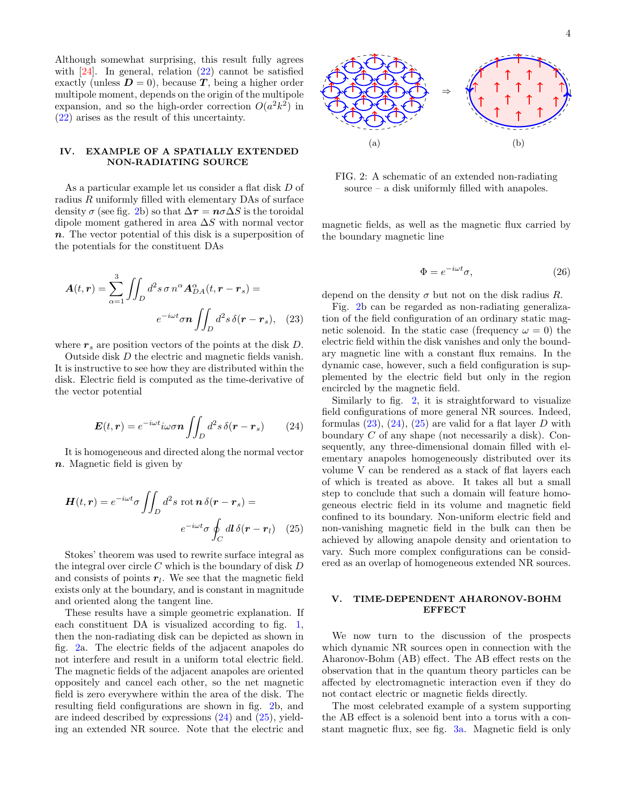Although somewhat surprising, this result fully agrees with  $[24]$ . In general, relation  $(22)$  cannot be satisfied exactly (unless  $D = 0$ ), because T, being a higher order multipole moment, depends on the origin of the multipole expansion, and so the high-order correction  $O(a^2k^2)$  in [\(22\)](#page-2-3) arises as the result of this uncertainty.

# IV. EXAMPLE OF A SPATIALLY EXTENDED NON-RADIATING SOURCE

As a particular example let us consider a flat disk D of radius  $R$  uniformly filled with elementary  $DAs$  of surface density  $\sigma$  (see fig. [2b](#page-3-0)) so that  $\Delta \tau = n \sigma \Delta S$  is the toroidal dipole moment gathered in area  $\Delta S$  with normal vector n. The vector potential of this disk is a superposition of the potentials for the constituent DAs

$$
\mathbf{A}(t,\mathbf{r}) = \sum_{\alpha=1}^{3} \iint_{D} d^{2} s \,\sigma \, n^{\alpha} \mathbf{A}_{DA}^{\alpha}(t, \mathbf{r} - \mathbf{r}_{s}) =
$$
\n
$$
e^{-i\omega t} \sigma \mathbf{n} \iint_{D} d^{2} s \,\delta(\mathbf{r} - \mathbf{r}_{s}), \quad (23)
$$

where  $r_s$  are position vectors of the points at the disk D.

Outside disk D the electric and magnetic fields vanish. It is instructive to see how they are distributed within the disk. Electric field is computed as the time-derivative of the vector potential

<span id="page-3-1"></span>
$$
\boldsymbol{E}(t,\boldsymbol{r}) = e^{-i\omega t} i\omega \sigma \boldsymbol{n} \iint_D d^2 s \,\delta(\boldsymbol{r} - \boldsymbol{r}_s) \qquad (24)
$$

It is homogeneous and directed along the normal vector  $n.$  Magnetic field is given by

$$
\mathbf{H}(t,\mathbf{r}) = e^{-i\omega t} \sigma \iint_D d^2 s \, \cot \mathbf{n} \, \delta(\mathbf{r} - \mathbf{r}_s) =
$$

$$
e^{-i\omega t} \sigma \oint_C dl \, \delta(\mathbf{r} - \mathbf{r}_l) \quad (25)
$$

Stokes' theorem was used to rewrite surface integral as the integral over circle  $C$  which is the boundary of disk  $D$ and consists of points  $r_l$ . We see that the magnetic field exists only at the boundary, and is constant in magnitude and oriented along the tangent line.

These results have a simple geometric explanation. If each constituent DA is visualized according to fig. [1,](#page-1-7) then the non-radiating disk can be depicted as shown in fig. [2a](#page-3-0). The electric fields of the adjacent anapoles do not interfere and result in a uniform total electric field. The magnetic fields of the adjacent anapoles are oriented oppositely and cancel each other, so the net magnetic field is zero everywhere within the area of the disk. The resulting field configurations are shown in fig. [2b](#page-3-0), and are indeed described by expressions  $(24)$  and  $(25)$ , yielding an extended NR source. Note that the electric and

<span id="page-3-0"></span>

FIG. 2: A schematic of an extended non-radiating source – a disk uniformly filled with anapoles.

magnetic fields, as well as the magnetic flux carried by the boundary magnetic line

<span id="page-3-4"></span>
$$
\Phi = e^{-i\omega t} \sigma,\tag{26}
$$

depend on the density  $\sigma$  but not on the disk radius R.

<span id="page-3-3"></span>Fig. [2b](#page-3-0) can be regarded as non-radiating generalization of the field configuration of an ordinary static magnetic solenoid. In the static case (frequency  $\omega = 0$ ) the electric field within the disk vanishes and only the boundary magnetic line with a constant flux remains. In the dynamic case, however, such a field configuration is supplemented by the electric field but only in the region encircled by the magnetic field.

Similarly to fig. [2,](#page-3-0) it is straightforward to visualize field configurations of more general NR sources. Indeed, formulas  $(23)$ ,  $(24)$ ,  $(25)$  are valid for a flat layer D with boundary C of any shape (not necessarily a disk). Consequently, any three-dimensional domain filled with elementary anapoles homogeneously distributed over its volume V can be rendered as a stack of flat layers each of which is treated as above. It takes all but a small step to conclude that such a domain will feature homogeneous electric field in its volume and magnetic field confined to its boundary. Non-uniform electric field and non-vanishing magnetic field in the bulk can then be achieved by allowing anapole density and orientation to vary. Such more complex configurations can be considered as an overlap of homogeneous extended NR sources.

## <span id="page-3-2"></span>V. TIME-DEPENDENT AHARONOV-BOHM EFFECT

We now turn to the discussion of the prospects which dynamic NR sources open in connection with the Aharonov-Bohm (AB) effect. The AB effect rests on the observation that in the quantum theory particles can be affected by electromagnetic interaction even if they do not contact electric or magnetic fields directly.

The most celebrated example of a system supporting the AB effect is a solenoid bent into a torus with a constant magnetic flux, see fig. [3a.](#page-4-0) Magnetic field is only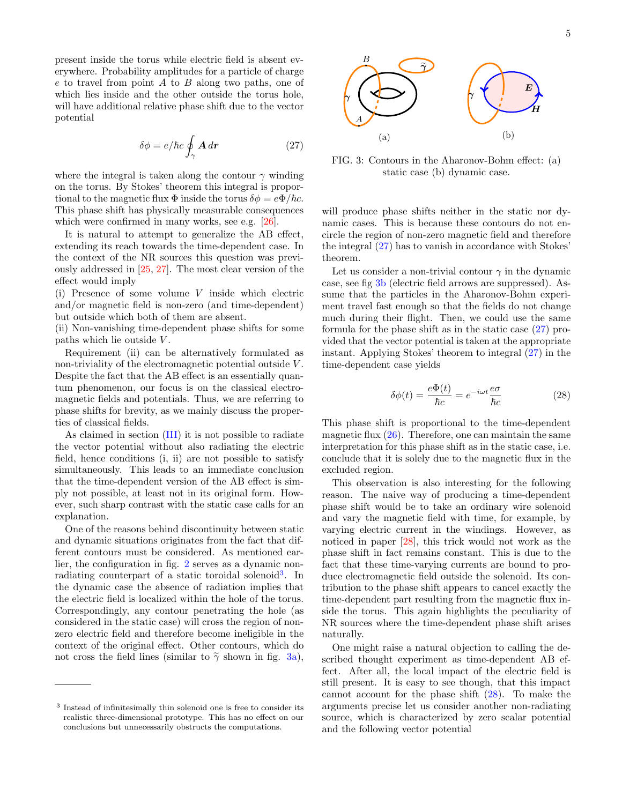present inside the torus while electric field is absent everywhere. Probability amplitudes for a particle of charge e to travel from point A to B along two paths, one of which lies inside and the other outside the torus hole, will have additional relative phase shift due to the vector potential

<span id="page-4-2"></span>
$$
\delta \phi = e/\hbar c \oint_{\gamma} \mathbf{A} \, d\mathbf{r} \tag{27}
$$

where the integral is taken along the contour  $\gamma$  winding on the torus. By Stokes' theorem this integral is proportional to the magnetic flux  $\Phi$  inside the torus  $\delta \phi = e \Phi/\hbar c$ . This phase shift has physically measurable consequences which were confirmed in many works, see e.g. [\[26\]](#page-7-15).

It is natural to attempt to generalize the AB effect, extending its reach towards the time-dependent case. In the context of the NR sources this question was previously addressed in [\[25,](#page-7-14) [27\]](#page-7-16). The most clear version of the effect would imply

(i) Presence of some volume V inside which electric and/or magnetic field is non-zero (and time-dependent) but outside which both of them are absent.

(ii) Non-vanishing time-dependent phase shifts for some paths which lie outside V.

Requirement (ii) can be alternatively formulated as non-triviality of the electromagnetic potential outside V. Despite the fact that the AB effect is an essentially quantum phenomenon, our focus is on the classical electromagnetic fields and potentials. Thus, we are referring to phase shifts for brevity, as we mainly discuss the properties of classical fields.

As claimed in section [\(III\)](#page-1-10) it is not possible to radiate the vector potential without also radiating the electric field, hence conditions (i, ii) are not possible to satisfy simultaneously. This leads to an immediate conclusion that the time-dependent version of the AB effect is simply not possible, at least not in its original form. However, such sharp contrast with the static case calls for an explanation.

One of the reasons behind discontinuity between static and dynamic situations originates from the fact that different contours must be considered. As mentioned earlier, the configuration in fig. [2](#page-3-0) serves as a dynamic non-radiating counterpart of a static toroidal solenoid<sup>[3](#page-4-1)</sup>. In the dynamic case the absence of radiation implies that the electric field is localized within the hole of the torus. Correspondingly, any contour penetrating the hole (as considered in the static case) will cross the region of nonzero electric field and therefore become ineligible in the context of the original effect. Other contours, which do not cross the field lines (similar to  $\tilde{\gamma}$  shown in fig. [3a\)](#page-4-0),

<span id="page-4-0"></span>

FIG. 3: Contours in the Aharonov-Bohm effect: (a) static case (b) dynamic case.

will produce phase shifts neither in the static nor dynamic cases. This is because these contours do not encircle the region of non-zero magnetic field and therefore the integral [\(27\)](#page-4-2) has to vanish in accordance with Stokes' theorem.

Let us consider a non-trivial contour  $\gamma$  in the dynamic case, see fig [3b](#page-4-0) (electric field arrows are suppressed). Assume that the particles in the Aharonov-Bohm experiment travel fast enough so that the fields do not change much during their flight. Then, we could use the same formula for the phase shift as in the static case [\(27\)](#page-4-2) provided that the vector potential is taken at the appropriate instant. Applying Stokes' theorem to integral [\(27\)](#page-4-2) in the time-dependent case yields

<span id="page-4-3"></span>
$$
\delta\phi(t) = \frac{e\Phi(t)}{\hbar c} = e^{-i\omega t} \frac{e\sigma}{\hbar c} \tag{28}
$$

This phase shift is proportional to the time-dependent magnetic flux  $(26)$ . Therefore, one can maintain the same interpretation for this phase shift as in the static case, i.e. conclude that it is solely due to the magnetic flux in the excluded region.

This observation is also interesting for the following reason. The naive way of producing a time-dependent phase shift would be to take an ordinary wire solenoid and vary the magnetic field with time, for example, by varying electric current in the windings. However, as noticed in paper [\[28\]](#page-7-17), this trick would not work as the phase shift in fact remains constant. This is due to the fact that these time-varying currents are bound to produce electromagnetic field outside the solenoid. Its contribution to the phase shift appears to cancel exactly the time-dependent part resulting from the magnetic flux inside the torus. This again highlights the peculiarity of NR sources where the time-dependent phase shift arises naturally.

One might raise a natural objection to calling the described thought experiment as time-dependent AB effect. After all, the local impact of the electric field is still present. It is easy to see though, that this impact cannot account for the phase shift [\(28\)](#page-4-3). To make the arguments precise let us consider another non-radiating source, which is characterized by zero scalar potential and the following vector potential

<span id="page-4-1"></span><sup>3</sup> Instead of infinitesimally thin solenoid one is free to consider its realistic three-dimensional prototype. This has no effect on our conclusions but unnecessarily obstructs the computations.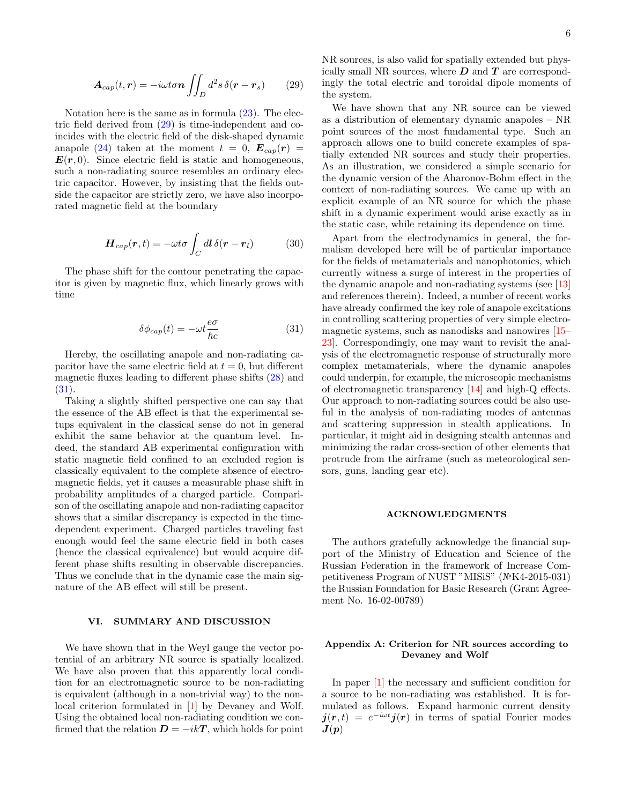<span id="page-5-1"></span>
$$
\boldsymbol{A}_{cap}(t,\boldsymbol{r}) = -i\omega t\sigma \boldsymbol{n} \iint_D d^2s \,\delta(\boldsymbol{r}-\boldsymbol{r}_s) \qquad (29)
$$

Notation here is the same as in formula  $(23)$ . The electric field derived from [\(29\)](#page-5-1) is time-independent and coincides with the electric field of the disk-shaped dynamic anapole [\(24\)](#page-3-1) taken at the moment  $t = 0$ ,  $\mathbf{E}_{cap}(r) =$  $E(r, 0)$ . Since electric field is static and homogeneous, such a non-radiating source resembles an ordinary electric capacitor. However, by insisting that the fields outside the capacitor are strictly zero, we have also incorporated magnetic field at the boundary

$$
\boldsymbol{H}_{cap}(\boldsymbol{r},t) = -\omega t\sigma \int_C dl \,\delta(\boldsymbol{r}-\boldsymbol{r}_l) \tag{30}
$$

The phase shift for the contour penetrating the capacitor is given by magnetic flux, which linearly grows with time

<span id="page-5-2"></span>
$$
\delta \phi_{cap}(t) = -\omega t \frac{e\sigma}{\hbar c} \tag{31}
$$

Hereby, the oscillating anapole and non-radiating capacitor have the same electric field at  $t = 0$ , but different magnetic fluxes leading to different phase shifts [\(28\)](#page-4-3) and [\(31\)](#page-5-2).

Taking a slightly shifted perspective one can say that the essence of the AB effect is that the experimental setups equivalent in the classical sense do not in general exhibit the same behavior at the quantum level. Indeed, the standard AB experimental configuration with static magnetic field confined to an excluded region is classically equivalent to the complete absence of electromagnetic fields, yet it causes a measurable phase shift in probability amplitudes of a charged particle. Comparison of the oscillating anapole and non-radiating capacitor shows that a similar discrepancy is expected in the timedependent experiment. Charged particles traveling fast enough would feel the same electric field in both cases (hence the classical equivalence) but would acquire different phase shifts resulting in observable discrepancies. Thus we conclude that in the dynamic case the main signature of the AB effect will still be present.

#### VI. SUMMARY AND DISCUSSION

We have shown that in the Weyl gauge the vector potential of an arbitrary NR source is spatially localized. We have also proven that this apparently local condition for an electromagnetic source to be non-radiating is equivalent (although in a non-trivial way) to the nonlocal criterion formulated in [\[1\]](#page-7-0) by Devaney and Wolf. Using the obtained local non-radiating condition we confirmed that the relation  $D = -ikT$ , which holds for point NR sources, is also valid for spatially extended but physically small NR sources, where  $D$  and  $T$  are correspondingly the total electric and toroidal dipole moments of the system.

We have shown that any NR source can be viewed as a distribution of elementary dynamic anapoles – NR point sources of the most fundamental type. Such an approach allows one to build concrete examples of spatially extended NR sources and study their properties. As an illustration, we considered a simple scenario for the dynamic version of the Aharonov-Bohm effect in the context of non-radiating sources. We came up with an explicit example of an NR source for which the phase shift in a dynamic experiment would arise exactly as in the static case, while retaining its dependence on time.

Apart from the electrodynamics in general, the formalism developed here will be of particular importance for the fields of metamaterials and nanophotonics, which currently witness a surge of interest in the properties of the dynamic anapole and non-radiating systems (see [\[13\]](#page-7-9) and references therein). Indeed, a number of recent works have already confirmed the key role of anapole excitations in controlling scattering properties of very simple electromagnetic systems, such as nanodisks and nanowires [\[15–](#page-7-11) [23\]](#page-7-12). Correspondingly, one may want to revisit the analysis of the electromagnetic response of structurally more complex metamaterials, where the dynamic anapoles could underpin, for example, the microscopic mechanisms of electromagnetic transparency [\[14\]](#page-7-10) and high-Q effects. Our approach to non-radiating sources could be also useful in the analysis of non-radiating modes of antennas and scattering suppression in stealth applications. In particular, it might aid in designing stealth antennas and minimizing the radar cross-section of other elements that protrude from the airframe (such as meteorological sensors, guns, landing gear etc).

#### ACKNOWLEDGMENTS

The authors gratefully acknowledge the financial support of the Ministry of Education and Science of the Russian Federation in the framework of Increase Competitiveness Program of NUST "MISiS" (№K4-2015-031) the Russian Foundation for Basic Research (Grant Agreement No. 16-02-00789)

### <span id="page-5-0"></span>Appendix A: Criterion for NR sources according to Devaney and Wolf

In paper [\[1\]](#page-7-0) the necessary and sufficient condition for a source to be non-radiating was established. It is formulated as follows. Expand harmonic current density  $j(r,t) = e^{-i\omega t}j(r)$  in terms of spatial Fourier modes  $\bm{J}(\bm{p})$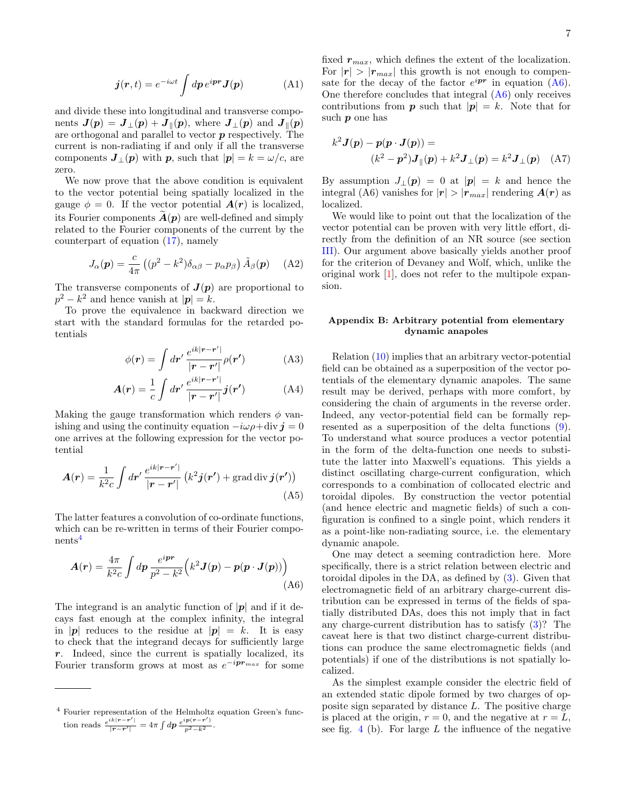$$
\boldsymbol{j}(\boldsymbol{r},t) = e^{-i\omega t} \int d\boldsymbol{p} \, e^{i\boldsymbol{p}\boldsymbol{r}} \boldsymbol{J}(\boldsymbol{p}) \tag{A1}
$$

and divide these into longitudinal and transverse components  $J(p) = J_{\perp}(p) + J_{\parallel}(p)$ , where  $J_{\perp}(p)$  and  $J_{\parallel}(p)$ are orthogonal and parallel to vector  $p$  respectively. The current is non-radiating if and only if all the transverse components  $J_{\perp}(p)$  with p, such that  $|p| = k = \omega/c$ , are zero.

We now prove that the above condition is equivalent to the vector potential being spatially localized in the gauge  $\phi = 0$ . If the vector potential  $\mathbf{A}(\mathbf{r})$  is localized, its Fourier components  $\tilde{A}(p)$  are well-defined and simply related to the Fourier components of the current by the counterpart of equation [\(17\)](#page-2-1), namely

$$
J_{\alpha}(\boldsymbol{p}) = \frac{c}{4\pi} \left( (p^2 - k^2) \delta_{\alpha\beta} - p_{\alpha} p_{\beta} \right) \tilde{A}_{\beta}(\boldsymbol{p}) \quad \text{(A2)}
$$

The transverse components of  $J(p)$  are proportional to  $p^2 - k^2$  and hence vanish at  $|\mathbf{p}| = k$ .

To prove the equivalence in backward direction we start with the standard formulas for the retarded potentials

$$
\phi(\mathbf{r}) = \int d\mathbf{r}' \, \frac{e^{ik|\mathbf{r} - \mathbf{r}'|}}{|\mathbf{r} - \mathbf{r}'|} \rho(\mathbf{r}')
$$
 (A3)

$$
A(r) = \frac{1}{c} \int dr' \frac{e^{ik|r - r'|}}{|r - r'|} j(r')
$$
 (A4)

Making the gauge transformation which renders  $\phi$  vanishing and using the continuity equation  $-i\omega \rho + \text{div} \, \mathbf{i} = 0$ one arrives at the following expression for the vector potential

$$
\mathbf{A}(\mathbf{r}) = \frac{1}{k^2 c} \int d\mathbf{r}' \, \frac{e^{ik|\mathbf{r} - \mathbf{r}'|}}{|\mathbf{r} - \mathbf{r}'|} \left( k^2 \mathbf{j}(\mathbf{r}') + \text{grad div } \mathbf{j}(\mathbf{r}') \right)
$$
\n(A5)

The latter features a convolution of co-ordinate functions, which can be re-written in terms of their Fourier compo- $nents<sup>4</sup>$  $nents<sup>4</sup>$  $nents<sup>4</sup>$ 

$$
\mathbf{A}(\mathbf{r}) = \frac{4\pi}{k^2 c} \int d\mathbf{p} \, \frac{e^{i\mathbf{p}\mathbf{r}}}{p^2 - k^2} \Big( k^2 \mathbf{J}(\mathbf{p}) - \mathbf{p}(\mathbf{p} \cdot \mathbf{J}(\mathbf{p})) \Big) \tag{A6}
$$

The integrand is an analytic function of  $|p|$  and if it decays fast enough at the complex infinity, the integral in |p| reduces to the residue at  $|p| = k$ . It is easy to check that the integrand decays for sufficiently large r. Indeed, since the current is spatially localized, its Fourier transform grows at most as  $e^{-ipr_{max}}$  for some fixed  $r_{max}$ , which defines the extent of the localization. For  $|r| > |r_{max}|$  this growth is not enough to compensate for the decay of the factor  $e^{ipr}$  in equation [\(A6\)](#page-6-2). One therefore concludes that integral [\(A6\)](#page-6-2) only receives contributions from **p** such that  $|\mathbf{p}| = k$ . Note that for such  $p$  one has

$$
k^2 \mathbf{J}(\mathbf{p}) - \mathbf{p}(\mathbf{p} \cdot \mathbf{J}(\mathbf{p})) =
$$
  

$$
(k^2 - \mathbf{p}^2)\mathbf{J}_{\parallel}(\mathbf{p}) + k^2 \mathbf{J}_{\perp}(\mathbf{p}) = k^2 \mathbf{J}_{\perp}(\mathbf{p}) \quad \text{(A7)}
$$

By assumption  $J_{\perp}(\boldsymbol{p}) = 0$  at  $|\boldsymbol{p}| = k$  and hence the integral (A6) vanishes for  $|r| > |r_{max}|$  rendering  $A(r)$  as localized.

We would like to point out that the localization of the vector potential can be proven with very little effort, directly from the definition of an NR source (see section [III\)](#page-1-10). Our argument above basically yields another proof for the criterion of Devaney and Wolf, which, unlike the original work [\[1\]](#page-7-0), does not refer to the multipole expansion.

# <span id="page-6-0"></span>Appendix B: Arbitrary potential from elementary dynamic anapoles

Relation [\(10\)](#page-2-0) implies that an arbitrary vector-potential field can be obtained as a superposition of the vector potentials of the elementary dynamic anapoles. The same result may be derived, perhaps with more comfort, by considering the chain of arguments in the reverse order. Indeed, any vector-potential field can be formally represented as a superposition of the delta functions [\(9\)](#page-2-4). To understand what source produces a vector potential in the form of the delta-function one needs to substitute the latter into Maxwell's equations. This yields a distinct oscillating charge-current configuration, which corresponds to a combination of collocated electric and toroidal dipoles. By construction the vector potential (and hence electric and magnetic fields) of such a configuration is confined to a single point, which renders it as a point-like non-radiating source, i.e. the elementary dynamic anapole.

<span id="page-6-2"></span>One may detect a seeming contradiction here. More specifically, there is a strict relation between electric and toroidal dipoles in the DA, as defined by [\(3\)](#page-1-0). Given that electromagnetic field of an arbitrary charge-current distribution can be expressed in terms of the fields of spatially distributed DAs, does this not imply that in fact any charge-current distribution has to satisfy [\(3\)](#page-1-0)? The caveat here is that two distinct charge-current distributions can produce the same electromagnetic fields (and potentials) if one of the distributions is not spatially localized.

As the simplest example consider the electric field of an extended static dipole formed by two charges of opposite sign separated by distance L. The positive charge is placed at the origin,  $r = 0$ , and the negative at  $r = L$ , see fig. [4](#page-7-18) (b). For large  $L$  the influence of the negative

<span id="page-6-1"></span><sup>4</sup> Fourier representation of the Helmholtz equation Green's function reads  $\frac{e^{ik\left|\mathbf{r}-\mathbf{r}'\right|}}{\left|\mathbf{r}-\mathbf{r}'\right|} = 4\pi \int d\mathbf{p} \frac{e^{i\mathbf{p}(\mathbf{r}-\mathbf{r}')}}{p^2 - k^2}$  $\frac{p}{p^2-k^2}$ .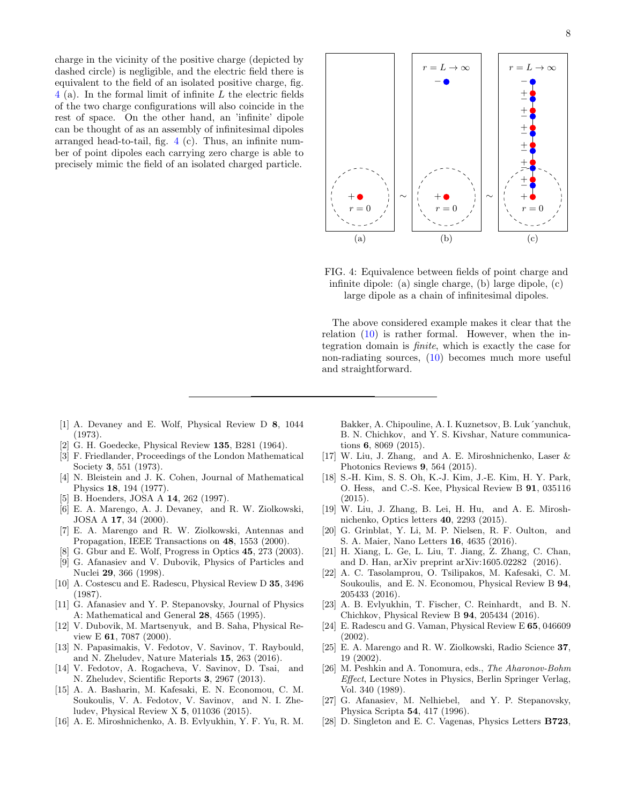charge in the vicinity of the positive charge (depicted by dashed circle) is negligible, and the electric field there is equivalent to the field of an isolated positive charge, fig.  $4$  (a). In the formal limit of infinite L the electric fields of the two charge configurations will also coincide in the rest of space. On the other hand, an 'infinite' dipole can be thought of as an assembly of infinitesimal dipoles arranged head-to-tail, fig. [4](#page-7-18) (c). Thus, an infinite number of point dipoles each carrying zero charge is able to precisely mimic the field of an isolated charged particle.

<span id="page-7-18"></span>

FIG. 4: Equivalence between fields of point charge and infinite dipole: (a) single charge, (b) large dipole, (c) large dipole as a chain of infinitesimal dipoles.

The above considered example makes it clear that the relation [\(10\)](#page-2-0) is rather formal. However, when the integration domain is finite, which is exactly the case for non-radiating sources, [\(10\)](#page-2-0) becomes much more useful and straightforward.

- <span id="page-7-0"></span>[1] A. Devaney and E. Wolf, Physical Review D 8, 1044 (1973).
- <span id="page-7-1"></span>[2] G. H. Goedecke, Physical Review 135, B281 (1964).
- <span id="page-7-2"></span>[3] F. Friedlander, Proceedings of the London Mathematical Society 3, 551 (1973).
- [4] N. Bleistein and J. K. Cohen, Journal of Mathematical Physics 18, 194 (1977).
- B. Hoenders, JOSA A 14, 262 (1997).
- [6] E. A. Marengo, A. J. Devaney, and R. W. Ziolkowski, JOSA A 17, 34 (2000).
- <span id="page-7-3"></span>[7] E. A. Marengo and R. W. Ziolkowski, Antennas and Propagation, IEEE Transactions on 48, 1553 (2000).
- <span id="page-7-4"></span>[8] G. Gbur and E. Wolf, Progress in Optics 45, 273 (2003).
- <span id="page-7-5"></span>[9] G. Afanasiev and V. Dubovik, Physics of Particles and Nuclei 29, 366 (1998).
- <span id="page-7-6"></span>[10] A. Costescu and E. Radescu, Physical Review D 35, 3496 (1987).
- <span id="page-7-7"></span>[11] G. Afanasiev and Y. P. Stepanovsky, Journal of Physics A: Mathematical and General 28, 4565 (1995).
- <span id="page-7-8"></span>[12] V. Dubovik, M. Martsenyuk, and B. Saha, Physical Review E 61, 7087 (2000).
- <span id="page-7-9"></span>[13] N. Papasimakis, V. Fedotov, V. Savinov, T. Raybould, and N. Zheludev, Nature Materials 15, 263 (2016).
- <span id="page-7-10"></span>[14] V. Fedotov, A. Rogacheva, V. Savinov, D. Tsai, and N. Zheludev, Scientific Reports 3, 2967 (2013).
- <span id="page-7-11"></span>[15] A. A. Basharin, M. Kafesaki, E. N. Economou, C. M. Soukoulis, V. A. Fedotov, V. Savinov, and N. I. Zheludev, Physical Review X 5, 011036 (2015).
- [16] A. E. Miroshnichenko, A. B. Evlyukhin, Y. F. Yu, R. M.

Bakker, A. Chipouline, A. I. Kuznetsov, B. Luk´yanchuk, B. N. Chichkov, and Y. S. Kivshar, Nature communications 6, 8069 (2015).

- [17] W. Liu, J. Zhang, and A. E. Miroshnichenko, Laser & Photonics Reviews 9, 564 (2015).
- [18] S.-H. Kim, S. S. Oh, K.-J. Kim, J.-E. Kim, H. Y. Park, O. Hess, and C.-S. Kee, Physical Review B 91, 035116 (2015).
- [19] W. Liu, J. Zhang, B. Lei, H. Hu, and A. E. Miroshnichenko, Optics letters 40, 2293 (2015).
- [20] G. Grinblat, Y. Li, M. P. Nielsen, R. F. Oulton, and S. A. Maier, Nano Letters 16, 4635 (2016).
- [21] H. Xiang, L. Ge, L. Liu, T. Jiang, Z. Zhang, C. Chan, and D. Han, arXiv preprint arXiv:1605.02282 (2016).
- [22] A. C. Tasolamprou, O. Tsilipakos, M. Kafesaki, C. M. Soukoulis, and E. N. Economou, Physical Review B 94, 205433 (2016).
- <span id="page-7-12"></span>[23] A. B. Evlyukhin, T. Fischer, C. Reinhardt, and B. N. Chichkov, Physical Review B 94, 205434 (2016).
- <span id="page-7-13"></span>[24] E. Radescu and G. Vaman, Physical Review E 65, 046609 (2002).
- <span id="page-7-14"></span>[25] E. A. Marengo and R. W. Ziolkowski, Radio Science 37, 19 (2002).
- <span id="page-7-15"></span>[26] M. Peshkin and A. Tonomura, eds., The Aharonov-Bohm Effect, Lecture Notes in Physics, Berlin Springer Verlag, Vol. 340 (1989).
- <span id="page-7-16"></span>[27] G. Afanasiev, M. Nelhiebel, and Y. P. Stepanovsky, Physica Scripta 54, 417 (1996).
- <span id="page-7-17"></span>[28] D. Singleton and E. C. Vagenas, Physics Letters B723,